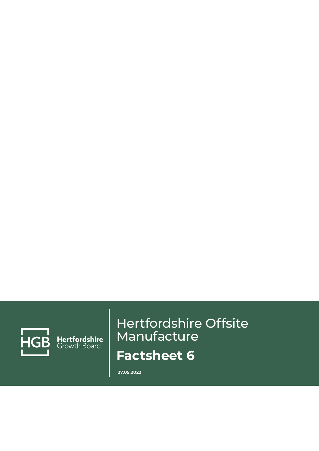

Hertfordshire<br>Growth Board

# Hertfordshire Offsite Manufacture **Factsheet 6**

**27.05.2022**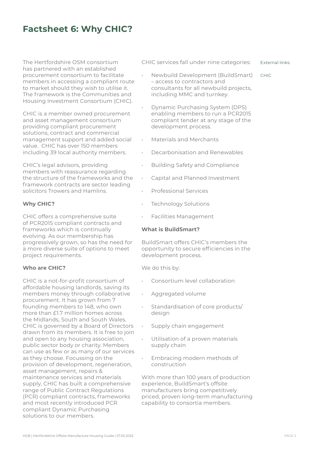# **Factsheet 6: Why CHIC?**

The Hertfordshire OSM consortium has partnered with an established procurement consortium to facilitate members in accessing a compliant route to market should they wish to utilise it. The framework is the Communities and Housing Investment Consortium (CHIC).

CHIC is a member owned procurement and asset management consortium providing compliant procurement solutions, contract and commercial management support and added social value. CHIC has over 150 members including 39 local authority members.

CHIC's legal advisors, providing members with reassurance regarding the structure of the frameworks and the framework contracts are sector leading solicitors Trowers and Hamlins.

### **Why CHIC?**

CHIC offers a comprehensive suite of PCR2015 compliant contracts and frameworks which is continually evolving. As our membership has progressively grown, so has the need for a more diverse suite of options to meet project requirements.

#### **Who are CHIC?**

CHIC is a not-for-profit consortium of affordable housing landlords, saving its members money through collaborative procurement. It has grown from 7 founding members to 148, who own more than £1.7 million homes across the Midlands, South and South Wales. CHIC is governed by a Board of Directors drawn from its members. It is free to join and open to any housing association, public sector body or charity. Members can use as few or as many of our services as they choose. Focussing on the provision of development, regeneration, asset management, repairs & maintenance services and materials supply, CHIC has built a comprehensive range of Public Contract Regulations (PCR) compliant contracts, frameworks and most recently introduced PCR compliant Dynamic Purchasing solutions to our members.

CHIC services fall under nine categories: External links:

CHIC

- Newbuild Development (BuildSmart) – access to contractors and consultants for all newbuild projects, including MMC and turnkey.
- Dynamic Purchasing System (DPS) enabling members to run a PCR2015 compliant tender at any stage of the development process.
- Materials and Merchants
- Decarbonisation and Renewables
- Building Safety and Compliance
- Capital and Planned Investment
- Professional Services
- Technology Solutions
- Facilities Management

#### **What is BuildSmart?**

BuildSmart offers CHIC's members the opportunity to secure efficiencies in the development process.

We do this by:

- Consortium level collaboration
- Aggregated volume
- Standardisation of core products/ design
- Supply chain engagement
- Utilisation of a proven materials supply chain
- Embracing modern methods of construction

With more than 100 years of production experience, BuildSmart's offsite manufacturers bring competitively priced, proven long-term manufacturing capability to consortia members.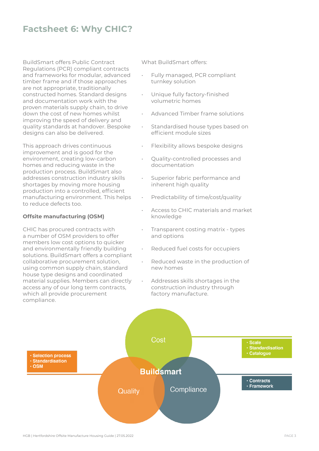## **Factsheet 6: Why CHIC?**

BuildSmart offers Public Contract Regulations (PCR) compliant contracts and frameworks for modular, advanced timber frame and if those approaches are not appropriate, traditionally constructed homes. Standard designs and documentation work with the proven materials supply chain, to drive down the cost of new homes whilst improving the speed of delivery and quality standards at handover. Bespoke designs can also be delivered.

This approach drives continuous improvement and is good for the environment, creating low-carbon homes and reducing waste in the production process. BuildSmart also addresses construction industry skills shortages by moving more housing production into a controlled, efficient manufacturing environment. This helps to reduce defects too.

#### **Offsite manufacturing (OSM)**

CHIC has procured contracts with a number of OSM providers to offer members low cost options to quicker and environmentally friendly building solutions. BuildSmart offers a compliant collaborative procurement solution, using common supply chain, standard house type designs and coordinated material supplies. Members can directly access any of our long term contracts, which all provide procurement compliance.

What BuildSmart offers:

- Fully managed, PCR compliant turnkey solution
- Unique fully factory-finished volumetric homes
- Advanced Timber frame solutions
- Standardised house types based on efficient module sizes
- Flexibility allows bespoke designs
- Quality-controlled processes and documentation
- Superior fabric performance and inherent high quality
- Predictability of time/cost/quality
- Access to CHIC materials and market knowledge
- Transparent costing matrix types and options
- Reduced fuel costs for occupiers
- Reduced waste in the production of new homes
- Addresses skills shortages in the construction industry through factory manufacture.